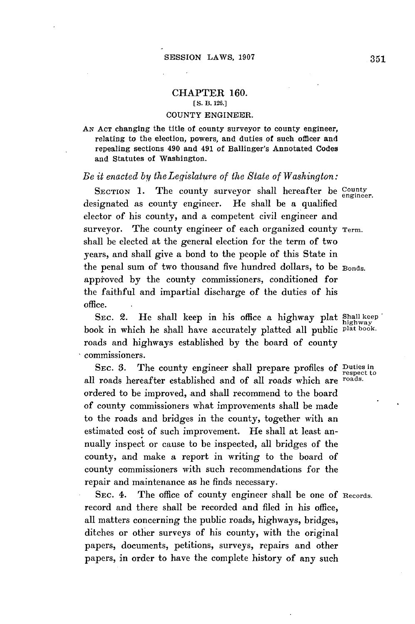## **CHAPTER 160. [S.** B. **126.]**

## **COUNTY** ENGINEER.

AN **ACT** changing the title of county surveyor to county engineer, relating to the election, powers, and duties of such officer and repealing sections 490 and 491 of Ballinger's Annotated Codes and Statutes of Washington.

## *Be it enacted by theLegislature of the State of Washington:*

SECTION 1. The county surveyor shall hereafter be County engineer. designated as county engineer. He shall be a qualified elector *of* his county, and a competent civil engineer and surveyor. The county engineer of each organized county Term. shall be elected at the general election for the term of two years, and shall give a bond to the people of this State in the penal sum of two thousand five hundred dollars, to be Bonds. appioved **by** the county commissioners, conditioned for the faithful and impartial discharge of the duties of his office.

SEC. 2. He shall keep in his office a highway plat Shall keep book in which he shall have accurately platted all public plat book. roads and highways established **by** the board of county commissioners.

SEc. **3.** The county engineer shall prepare profiles **of** Duties in all roads hereafter established and of all roads which are ordered to be improved, and shall recommend to the board of county commissioners what improvements shall be made to the roads and bridges in the county, together with an estimated cost of such improvement. He shall at least annually inspect or cause to be inspected, all bridges of the county, and make a report in writing to the board of county commissioners with such recommendations for the repair and maintenance as he finds necessary.

SEc. 4. The office of county engineer shall be one **of** Records. record and there shall be recorded and filed in his office, all matters concerning the public roads, highways, bridges, ditches or other surveys of his county, with the original papers, documents, petitions, surveys, repairs and other papers, in order to have the complete history of any such

respect to